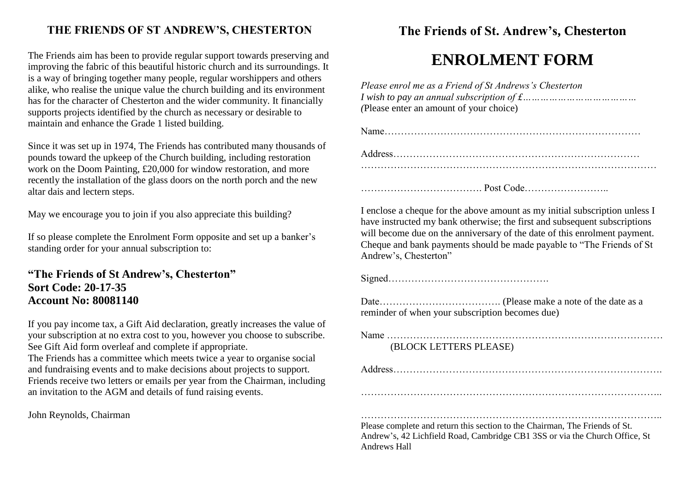#### **THE FRIENDS OF ST ANDREW'S, CHESTERTON**

The Friends aim has been to provide regular support towards preserving and improving the fabric of this beautiful historic church and its surroundings. It is a way of bringing together many people, regular worshippers and others alike, who realise the unique value the church building and its environment has for the character of Chesterton and the wider community. It financially supports projects identified by the church as necessary or desirable to maintain and enhance the Grade 1 listed building.

Since it was set up in 1974, The Friends has contributed many thousands of pounds toward the upkeep of the Church building, including restoration work on the Doom Painting, £20,000 for window restoration, and more recently the installation of the glass doors on the north porch and the new altar dais and lectern steps.

May we encourage you to join if you also appreciate this building?

If so please complete the Enrolment Form opposite and set up a banker's standing order for your annual subscription to:

#### **"The Friends of St Andrew's, Chesterton" Sort Code: 20-17-35 Account No: 80081140**

If you pay income tax, a Gift Aid declaration, greatly increases the value of your subscription at no extra cost to you, however you choose to subscribe. See Gift Aid form overleaf and complete if appropriate. The Friends has a committee which meets twice a year to organise social and fundraising events and to make decisions about projects to support. Friends receive two letters or emails per year from the Chairman, including an invitation to the AGM and details of fund raising events.

John Reynolds, Chairman

### **The Friends of St. Andrew's, Chesterton**

# **ENROLMENT FORM**

| Please enrol me as a Friend of St Andrews's Chesterton<br>(Please enter an amount of your choice) |
|---------------------------------------------------------------------------------------------------|
|                                                                                                   |
|                                                                                                   |
|                                                                                                   |
|                                                                                                   |

I enclose a cheque for the above amount as my initial subscription unless I have instructed my bank otherwise; the first and subsequent subscriptions will become due on the anniversary of the date of this enrolment payment. Cheque and bank payments should be made payable to "The Friends of St Andrew's, Chesterton"

Signed………………………………………….

Date………………………………. (Please make a note of the date as a reminder of when your subscription becomes due)

| (BLOCK LETTERS PLEASE)                                                                                                                               |
|------------------------------------------------------------------------------------------------------------------------------------------------------|
|                                                                                                                                                      |
|                                                                                                                                                      |
| Please complete and return this section to the Chairman, The Friends of St.<br>Andurry 10 Leh Cald David Computer CD1 200 savis the Church Office Of |

Andrew's, 42 Lichfield Road, Cambridge CB1 3SS or via the Church Office, St Andrews Hall